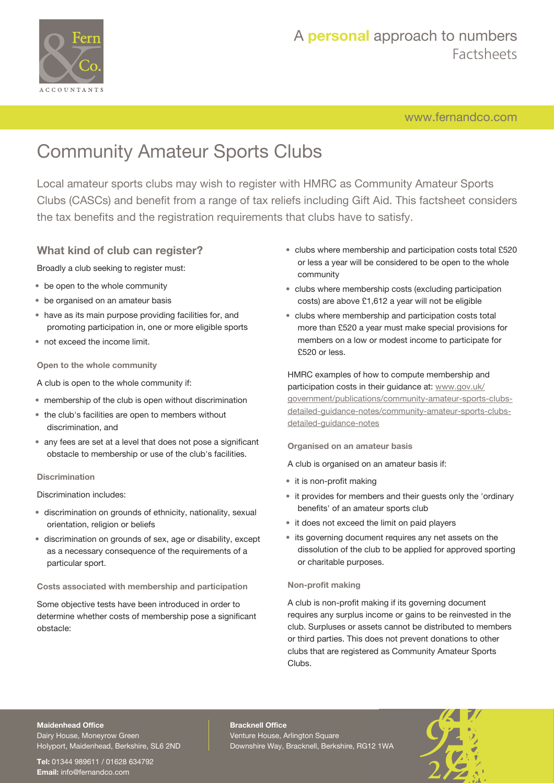

## A **personal** approach to numbers Factsheets

[www.fernandco.com](http://www.fernandco.com)

# Community Amateur Sports Clubs

Local amateur sports clubs may wish to register with HMRC as Community Amateur Sports Clubs (CASCs) and benefit from a range of tax reliefs including Gift Aid. This factsheet considers the tax benefits and the registration requirements that clubs have to satisfy.

## **What kind of club can register?**

Broadly a club seeking to register must:

- be open to the whole community
- be organised on an amateur basis
- have as its main purpose providing facilities for, and promoting participation in, one or more eligible sports
- not exceed the income limit.

**Open to the whole community**

- A club is open to the whole community if:
- membership of the club is open without discrimination
- the club's facilities are open to members without discrimination, and
- any fees are set at a level that does not pose a significant obstacle to membership or use of the club's facilities.

#### **Discrimination**

Discrimination includes:

- discrimination on grounds of ethnicity, nationality, sexual orientation, religion or beliefs
- discrimination on grounds of sex, age or disability, except as a necessary consequence of the requirements of a particular sport.

**Costs associated with membership and participation**

Some objective tests have been introduced in order to determine whether costs of membership pose a significant obstacle:

- clubs where membership and participation costs total £520 or less a year will be considered to be open to the whole community
- clubs where membership costs (excluding participation costs) are above £1,612 a year will not be eligible
- clubs where membership and participation costs total more than £520 a year must make special provisions for members on a low or modest income to participate for £520 or less.

HMRC examples of how to compute membership and participation costs in their guidance at: [www.gov.uk/](https://www.gov.uk/government/publications/community-amateur-sports-clubs-detailed-guidance-notes/community-amateur-sports-clubs-detailed-guidance-notes) [government/publications/community-amateur-sports-clubs](https://www.gov.uk/government/publications/community-amateur-sports-clubs-detailed-guidance-notes/community-amateur-sports-clubs-detailed-guidance-notes)[detailed-guidance-notes/community-amateur-sports-clubs](https://www.gov.uk/government/publications/community-amateur-sports-clubs-detailed-guidance-notes/community-amateur-sports-clubs-detailed-guidance-notes)[detailed-guidance-notes](https://www.gov.uk/government/publications/community-amateur-sports-clubs-detailed-guidance-notes/community-amateur-sports-clubs-detailed-guidance-notes)

**Organised on an amateur basis**

A club is organised on an amateur basis if:

- it is non-profit making
- it provides for members and their guests only the 'ordinary benefits' of an amateur sports club
- it does not exceed the limit on paid players
- its governing document requires any net assets on the dissolution of the club to be applied for approved sporting or charitable purposes.

#### **Non-profit making**

A club is non-profit making if its governing document requires any surplus income or gains to be reinvested in the club. Surpluses or assets cannot be distributed to members or third parties. This does not prevent donations to other clubs that are registered as Community Amateur Sports Clubs.

### **Maidenhead Office**

Dairy House, Moneyrow Green Holyport, Maidenhead, Berkshire, SL6 2ND

**Tel:** 01344 989611 / 01628 634792 **Email:** [info@fernandco.com](mailto:info@fernandco.com)

**Bracknell Office** Venture House, Arlington Square Downshire Way, Bracknell, Berkshire, RG12 1WA

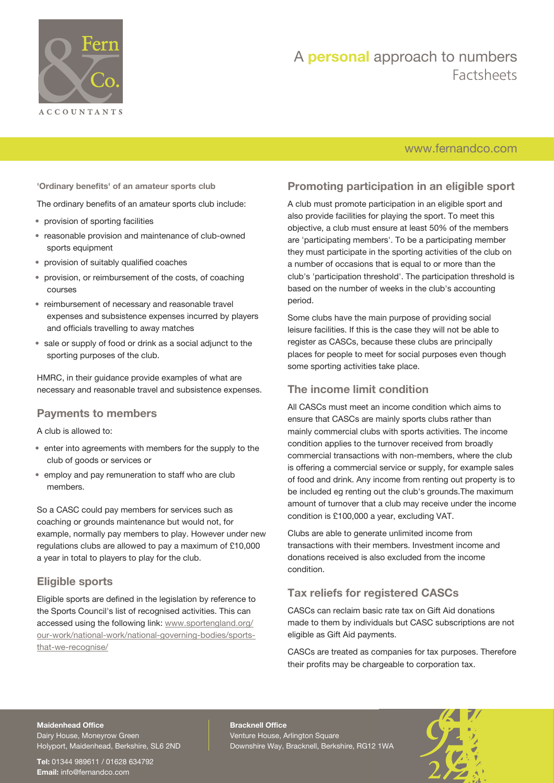

## A **personal** approach to numbers Factsheets

## [www.fernandco.com](http://www.fernandco.com)

**'Ordinary benefits' of an amateur sports club**

The ordinary benefits of an amateur sports club include:

- provision of sporting facilities
- reasonable provision and maintenance of club-owned sports equipment
- provision of suitably qualified coaches
- provision, or reimbursement of the costs, of coaching courses
- reimbursement of necessary and reasonable travel expenses and subsistence expenses incurred by players and officials travelling to away matches
- sale or supply of food or drink as a social adjunct to the sporting purposes of the club.

HMRC, in their guidance provide examples of what are necessary and reasonable travel and subsistence expenses.

### **Payments to members**

A club is allowed to:

- enter into agreements with members for the supply to the club of goods or services or
- employ and pay remuneration to staff who are club members.

So a CASC could pay members for services such as coaching or grounds maintenance but would not, for example, normally pay members to play. However under new regulations clubs are allowed to pay a maximum of £10,000 a year in total to players to play for the club.

## **Eligible sports**

Eligible sports are defined in the legislation by reference to the Sports Council's list of recognised activities. This can accessed using the following link: [www.sportengland.org/](http://www.sportengland.org/our-work/national-work/national-governing-bodies/sports-that-we-recognise/) [our-work/national-work/national-governing-bodies/sports](http://www.sportengland.org/our-work/national-work/national-governing-bodies/sports-that-we-recognise/)[that-we-recognise/](http://www.sportengland.org/our-work/national-work/national-governing-bodies/sports-that-we-recognise/)

## **Promoting participation in an eligible sport**

A club must promote participation in an eligible sport and also provide facilities for playing the sport. To meet this objective, a club must ensure at least 50% of the members are 'participating members'. To be a participating member they must participate in the sporting activities of the club on a number of occasions that is equal to or more than the club's 'participation threshold'. The participation threshold is based on the number of weeks in the club's accounting period.

Some clubs have the main purpose of providing social leisure facilities. If this is the case they will not be able to register as CASCs, because these clubs are principally places for people to meet for social purposes even though some sporting activities take place.

### **The income limit condition**

All CASCs must meet an income condition which aims to ensure that CASCs are mainly sports clubs rather than mainly commercial clubs with sports activities. The income condition applies to the turnover received from broadly commercial transactions with non-members, where the club is offering a commercial service or supply, for example sales of food and drink. Any income from renting out property is to be included eg renting out the club's grounds.The maximum amount of turnover that a club may receive under the income condition is £100,000 a year, excluding VAT.

Clubs are able to generate unlimited income from transactions with their members. Investment income and donations received is also excluded from the income condition.

## **Tax reliefs for registered CASCs**

CASCs can reclaim basic rate tax on Gift Aid donations made to them by individuals but CASC subscriptions are not eligible as Gift Aid payments.

CASCs are treated as companies for tax purposes. Therefore their profits may be chargeable to corporation tax.

#### **Maidenhead Office**

Dairy House, Moneyrow Green Holyport, Maidenhead, Berkshire, SL6 2ND

**Tel:** 01344 989611 / 01628 634792 **Email:** [info@fernandco.com](mailto:info@fernandco.com)

**Bracknell Office** Venture House, Arlington Square Downshire Way, Bracknell, Berkshire, RG12 1WA